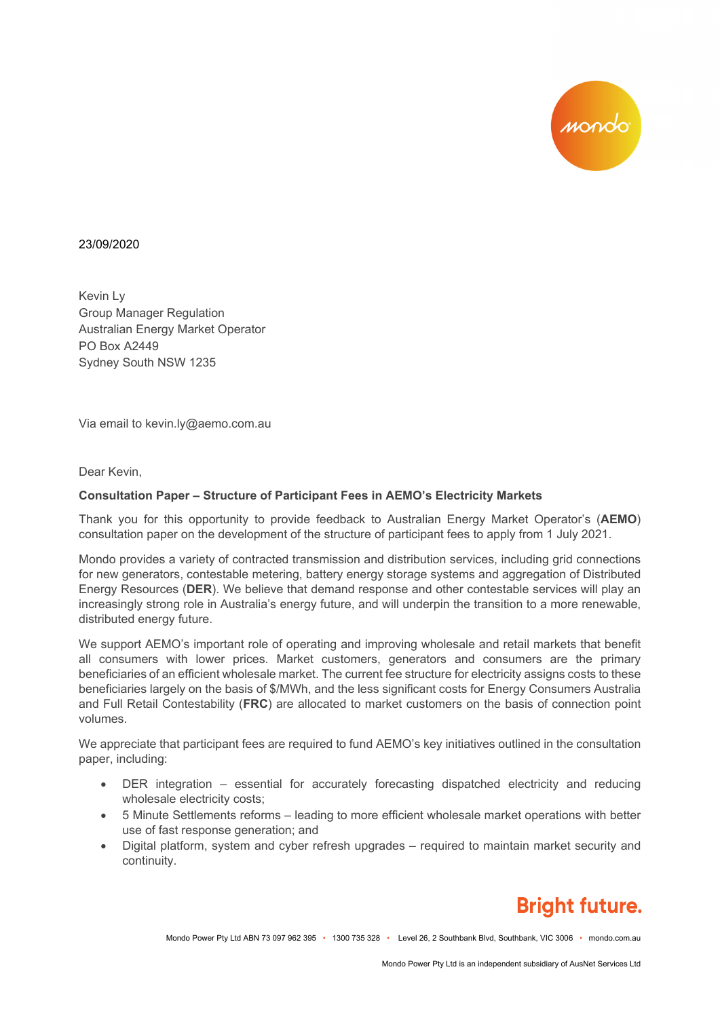

## 23/09/2020

Kevin Ly Group Manager Regulation Australian Energy Market Operator PO Box A2449 Sydney South NSW 1235

Via email to kevin.ly@aemo.com.au

Dear Kevin,

## **Consultation Paper – Structure of Participant Fees in AEMO's Electricity Markets**

Thank you for this opportunity to provide feedback to Australian Energy Market Operator's (**AEMO**) consultation paper on the development of the structure of participant fees to apply from 1 July 2021.

Mondo provides a variety of contracted transmission and distribution services, including grid connections for new generators, contestable metering, battery energy storage systems and aggregation of Distributed Energy Resources (**DER**). We believe that demand response and other contestable services will play an increasingly strong role in Australia's energy future, and will underpin the transition to a more renewable, distributed energy future.

We support AEMO's important role of operating and improving wholesale and retail markets that benefit all consumers with lower prices. Market customers, generators and consumers are the primary beneficiaries of an efficient wholesale market. The current fee structure for electricity assigns costs to these beneficiaries largely on the basis of \$/MWh, and the less significant costs for Energy Consumers Australia and Full Retail Contestability (**FRC**) are allocated to market customers on the basis of connection point volumes.

We appreciate that participant fees are required to fund AEMO's key initiatives outlined in the consultation paper, including:

- DER integration essential for accurately forecasting dispatched electricity and reducing wholesale electricity costs;
- 5 Minute Settlements reforms leading to more efficient wholesale market operations with better use of fast response generation; and
- Digital platform, system and cyber refresh upgrades required to maintain market security and continuity.

## **Bright future.**

Mondo Power Pty Ltd ABN 73 097 962 395 • 1300 735 328 • Level 26, 2 Southbank Blvd, Southbank, VIC 3006 • mondo.com.au